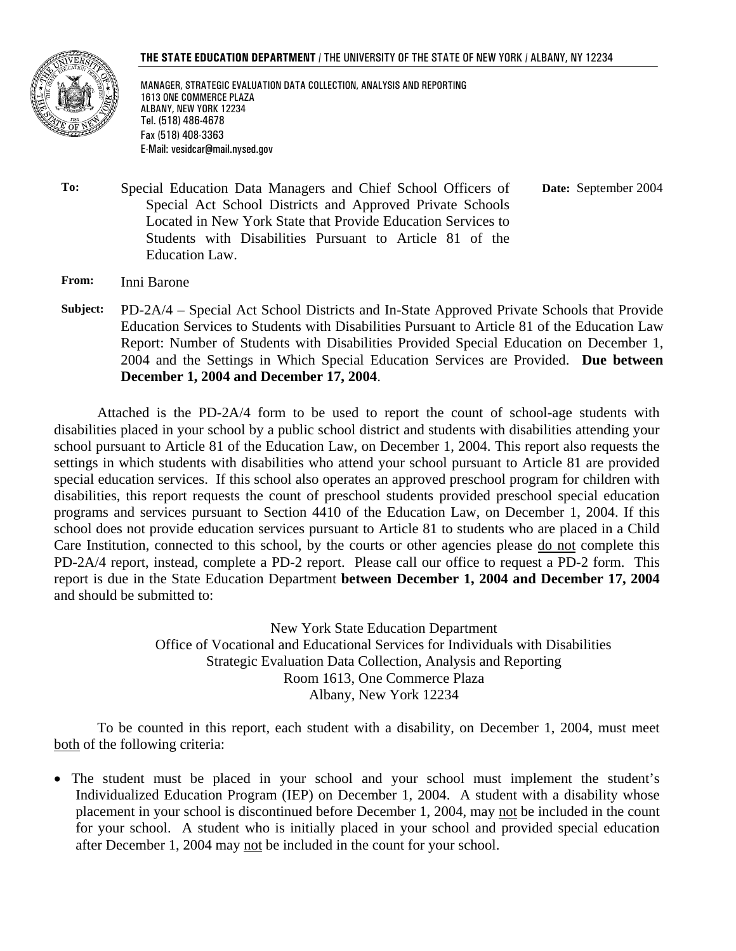

MANAGER, STRATEGIC EVALUATION DATA COLLECTION, ANALYSIS AND REPORTING 1613 ONE COMMERCE PLAZA ALBANY, NEW YORK 12234 Tel. (518) 486-4678 Fax (518) 408-3363 E-Mail: vesidcar@mail.nysed.gov

**To:** Special Education Data Managers and Chief School Officers of Special Act School Districts and Approved Private Schools Located in New York State that Provide Education Services to Students with Disabilities Pursuant to Article 81 of the Education Law.  **Date:** September 2004

- **From:** Inni Barone
- **Subject:** PD-2A/4 Special Act School Districts and In-State Approved Private Schools that Provide Education Services to Students with Disabilities Pursuant to Article 81 of the Education Law Report: Number of Students with Disabilities Provided Special Education on December 1, 2004 and the Settings in Which Special Education Services are Provided. **Due between December 1, 2004 and December 17, 2004**.

Attached is the PD-2A/4 form to be used to report the count of school-age students with disabilities placed in your school by a public school district and students with disabilities attending your school pursuant to Article 81 of the Education Law, on December 1, 2004. This report also requests the settings in which students with disabilities who attend your school pursuant to Article 81 are provided special education services. If this school also operates an approved preschool program for children with disabilities, this report requests the count of preschool students provided preschool special education programs and services pursuant to Section 4410 of the Education Law, on December 1, 2004. If this school does not provide education services pursuant to Article 81 to students who are placed in a Child Care Institution, connected to this school, by the courts or other agencies please do not complete this PD-2A/4 report, instead, complete a PD-2 report. Please call our office to request a PD-2 form. This report is due in the State Education Department **between December 1, 2004 and December 17, 2004**  and should be submitted to:

> New York State Education Department Office of Vocational and Educational Services for Individuals with Disabilities Strategic Evaluation Data Collection, Analysis and Reporting Room 1613, One Commerce Plaza Albany, New York 12234

To be counted in this report, each student with a disability, on December 1, 2004, must meet both of the following criteria:

• The student must be placed in your school and your school must implement the student's Individualized Education Program (IEP) on December 1, 2004. A student with a disability whose placement in your school is discontinued before December 1, 2004, may not be included in the count for your school. A student who is initially placed in your school and provided special education after December 1, 2004 may not be included in the count for your school.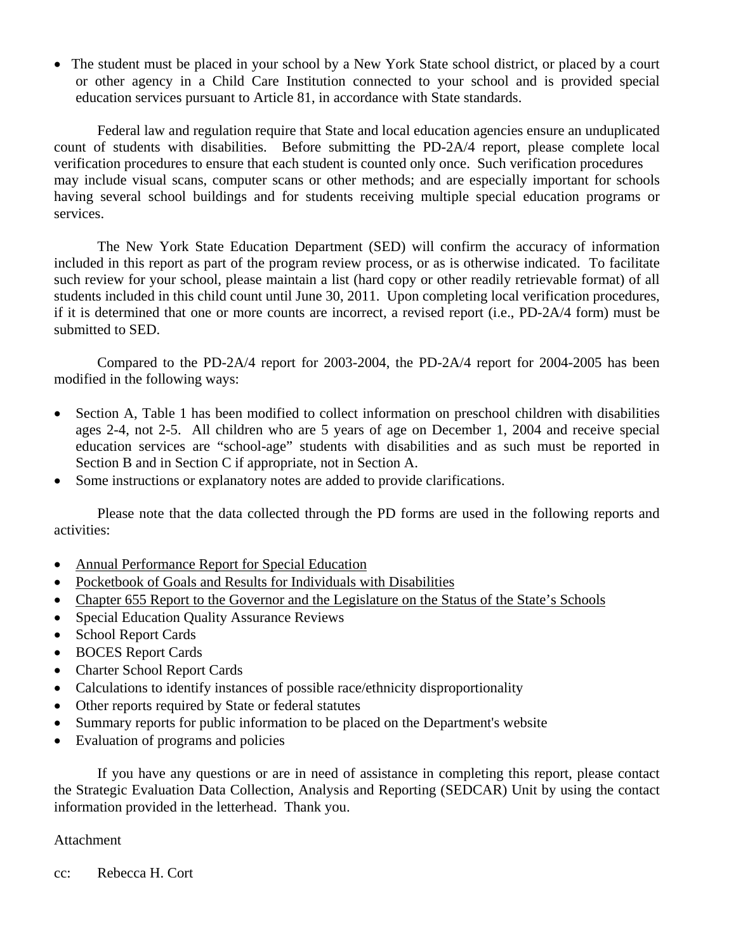• The student must be placed in your school by a New York State school district, or placed by a court or other agency in a Child Care Institution connected to your school and is provided special education services pursuant to Article 81, in accordance with State standards.

Federal law and regulation require that State and local education agencies ensure an unduplicated count of students with disabilities. Before submitting the PD-2A/4 report, please complete local verification procedures to ensure that each student is counted only once. Such verification procedures may include visual scans, computer scans or other methods; and are especially important for schools having several school buildings and for students receiving multiple special education programs or services.

The New York State Education Department (SED) will confirm the accuracy of information included in this report as part of the program review process, or as is otherwise indicated. To facilitate such review for your school, please maintain a list (hard copy or other readily retrievable format) of all students included in this child count until June 30, 2011. Upon completing local verification procedures, if it is determined that one or more counts are incorrect, a revised report (i.e., PD-2A/4 form) must be submitted to SED.

Compared to the PD-2A/4 report for 2003-2004, the PD-2A/4 report for 2004-2005 has been modified in the following ways:

- Section A, Table 1 has been modified to collect information on preschool children with disabilities ages 2-4, not 2-5. All children who are 5 years of age on December 1, 2004 and receive special education services are "school-age" students with disabilities and as such must be reported in Section B and in Section C if appropriate, not in Section A.
- Some instructions or explanatory notes are added to provide clarifications.

Please note that the data collected through the PD forms are used in the following reports and activities:

- Annual Performance Report for Special Education
- Pocketbook of Goals and Results for Individuals with Disabilities
- Chapter 655 Report to the Governor and the Legislature on the Status of the State's Schools
- Special Education Quality Assurance Reviews
- School Report Cards
- BOCES Report Cards
- Charter School Report Cards
- Calculations to identify instances of possible race/ethnicity disproportionality
- Other reports required by State or federal statutes
- Summary reports for public information to be placed on the Department's website
- Evaluation of programs and policies

If you have any questions or are in need of assistance in completing this report, please contact the Strategic Evaluation Data Collection, Analysis and Reporting (SEDCAR) Unit by using the contact information provided in the letterhead. Thank you.

## Attachment

cc: Rebecca H. Cort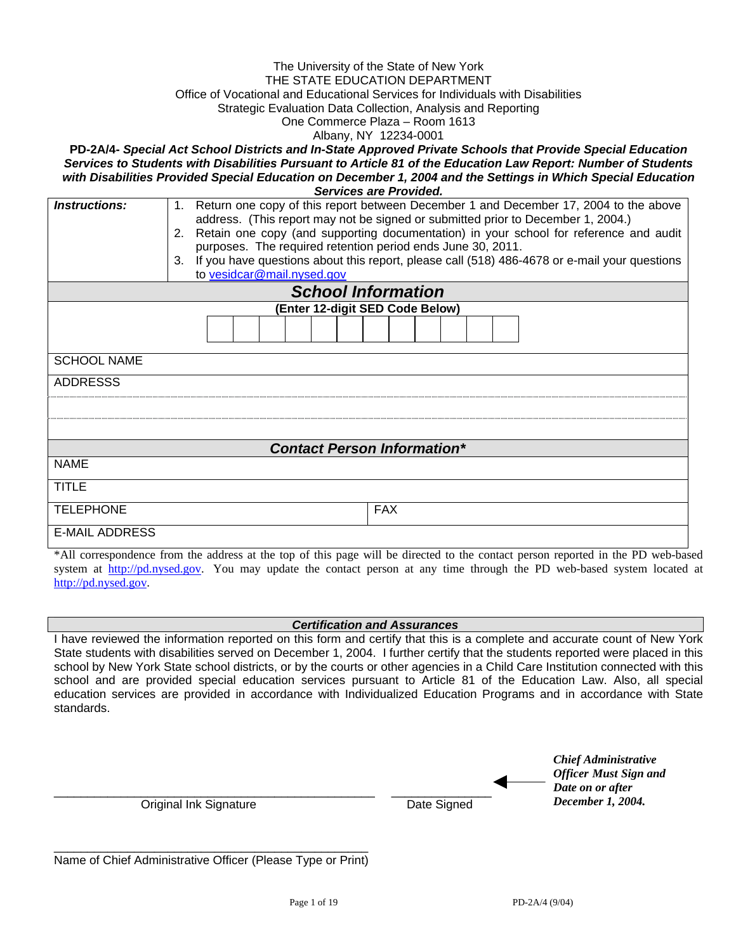#### The University of the State of New York THE STATE EDUCATION DEPARTMENT Office of Vocational and Educational Services for Individuals with Disabilities Strategic Evaluation Data Collection, Analysis and Reporting One Commerce Plaza – Room 1613 Albany, NY 12234-0001

**PD-2A/4-** *Special Act School Districts and In-State Approved Private Schools that Provide Special Education Services to Students with Disabilities Pursuant to Article 81 of the Education Law Report: Number of Students*  with Disabilities Provided Special Education on December 1, 2004 and the Settings in Which Special Education *Services are Provided.* 

| Services are Provided.             |                                                                                                                                                                                            |  |  |  |  |  |
|------------------------------------|--------------------------------------------------------------------------------------------------------------------------------------------------------------------------------------------|--|--|--|--|--|
| Instructions:                      | Return one copy of this report between December 1 and December 17, 2004 to the above<br>$\mathbf{1}$ .<br>address. (This report may not be signed or submitted prior to December 1, 2004.) |  |  |  |  |  |
|                                    |                                                                                                                                                                                            |  |  |  |  |  |
|                                    | Retain one copy (and supporting documentation) in your school for reference and audit<br>2.                                                                                                |  |  |  |  |  |
|                                    | purposes. The required retention period ends June 30, 2011.                                                                                                                                |  |  |  |  |  |
|                                    | If you have questions about this report, please call (518) 486-4678 or e-mail your questions<br>3.                                                                                         |  |  |  |  |  |
|                                    | to vesidcar@mail.nysed.gov                                                                                                                                                                 |  |  |  |  |  |
|                                    | <b>School Information</b>                                                                                                                                                                  |  |  |  |  |  |
|                                    | (Enter 12-digit SED Code Below)                                                                                                                                                            |  |  |  |  |  |
|                                    |                                                                                                                                                                                            |  |  |  |  |  |
| <b>SCHOOL NAME</b>                 |                                                                                                                                                                                            |  |  |  |  |  |
|                                    |                                                                                                                                                                                            |  |  |  |  |  |
| <b>ADDRESSS</b>                    |                                                                                                                                                                                            |  |  |  |  |  |
|                                    |                                                                                                                                                                                            |  |  |  |  |  |
|                                    |                                                                                                                                                                                            |  |  |  |  |  |
|                                    |                                                                                                                                                                                            |  |  |  |  |  |
| <b>Contact Person Information*</b> |                                                                                                                                                                                            |  |  |  |  |  |
| <b>NAME</b>                        |                                                                                                                                                                                            |  |  |  |  |  |
| <b>TITLE</b>                       |                                                                                                                                                                                            |  |  |  |  |  |
| <b>TELEPHONE</b>                   | <b>FAX</b>                                                                                                                                                                                 |  |  |  |  |  |
| <b>E-MAIL ADDRESS</b>              |                                                                                                                                                                                            |  |  |  |  |  |

\*All correspondence from the address at the top of this page will be directed to the contact person reported in the PD web-based system at http://pd.nysed.gov. You may update the contact person at any time through the PD web-based system located at http://pd.nysed.gov.

#### *Certification and Assurances*

I have reviewed the information reported on this form and certify that this is a complete and accurate count of New York State students with disabilities served on December 1, 2004. I further certify that the students reported were placed in this school by New York State school districts, or by the courts or other agencies in a Child Care Institution connected with this school and are provided special education services pursuant to Article 81 of the Education Law. Also, all special education services are provided in accordance with Individualized Education Programs and in accordance with State standards.

|                        |             | <b>Chief Administrative</b><br><b>Officer Must Sign and</b> |
|------------------------|-------------|-------------------------------------------------------------|
|                        |             | Date on or after                                            |
| Original Ink Signature | Date Signed | December 1, 2004.                                           |

| Name of Chief Administrative Officer (Please Type or Print) |  |  |
|-------------------------------------------------------------|--|--|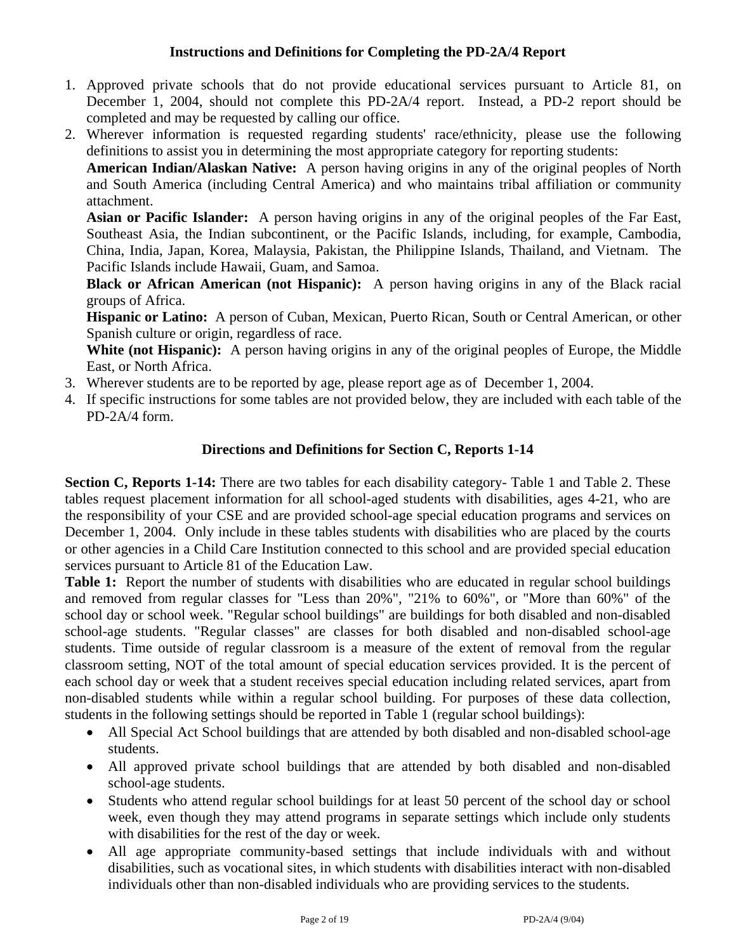## **Instructions and Definitions for Completing the PD-2A/4 Report**

- 1. Approved private schools that do not provide educational services pursuant to Article 81, on December 1, 2004, should not complete this PD-2A/4 report. Instead, a PD-2 report should be completed and may be requested by calling our office.
- 2. Wherever information is requested regarding students' race/ethnicity, please use the following definitions to assist you in determining the most appropriate category for reporting students:

**American Indian/Alaskan Native:** A person having origins in any of the original peoples of North and South America (including Central America) and who maintains tribal affiliation or community attachment.

**Asian or Pacific Islander:** A person having origins in any of the original peoples of the Far East, Southeast Asia, the Indian subcontinent, or the Pacific Islands, including, for example, Cambodia, China, India, Japan, Korea, Malaysia, Pakistan, the Philippine Islands, Thailand, and Vietnam. The Pacific Islands include Hawaii, Guam, and Samoa.

**Black or African American (not Hispanic):** A person having origins in any of the Black racial groups of Africa.

**Hispanic or Latino:** A person of Cuban, Mexican, Puerto Rican, South or Central American, or other Spanish culture or origin, regardless of race.

White (not Hispanic): A person having origins in any of the original peoples of Europe, the Middle East, or North Africa.

- 3. Wherever students are to be reported by age, please report age as of December 1, 2004.
- 4. If specific instructions for some tables are not provided below, they are included with each table of the PD-2A/4 form.

### **Directions and Definitions for Section C, Reports 1-14**

**Section C, Reports 1-14:** There are two tables for each disability category- Table 1 and Table 2. These tables request placement information for all school-aged students with disabilities, ages 4-21, who are the responsibility of your CSE and are provided school-age special education programs and services on December 1, 2004. Only include in these tables students with disabilities who are placed by the courts or other agencies in a Child Care Institution connected to this school and are provided special education services pursuant to Article 81 of the Education Law.

**Table 1:** Report the number of students with disabilities who are educated in regular school buildings and removed from regular classes for "Less than 20%", "21% to 60%", or "More than 60%" of the school day or school week. "Regular school buildings" are buildings for both disabled and non-disabled school-age students. "Regular classes" are classes for both disabled and non-disabled school-age students. Time outside of regular classroom is a measure of the extent of removal from the regular classroom setting, NOT of the total amount of special education services provided. It is the percent of each school day or week that a student receives special education including related services, apart from non-disabled students while within a regular school building. For purposes of these data collection, students in the following settings should be reported in Table 1 (regular school buildings):

- All Special Act School buildings that are attended by both disabled and non-disabled school-age students.
- All approved private school buildings that are attended by both disabled and non-disabled school-age students.
- Students who attend regular school buildings for at least 50 percent of the school day or school week, even though they may attend programs in separate settings which include only students with disabilities for the rest of the day or week.
- All age appropriate community-based settings that include individuals with and without disabilities, such as vocational sites, in which students with disabilities interact with non-disabled individuals other than non-disabled individuals who are providing services to the students.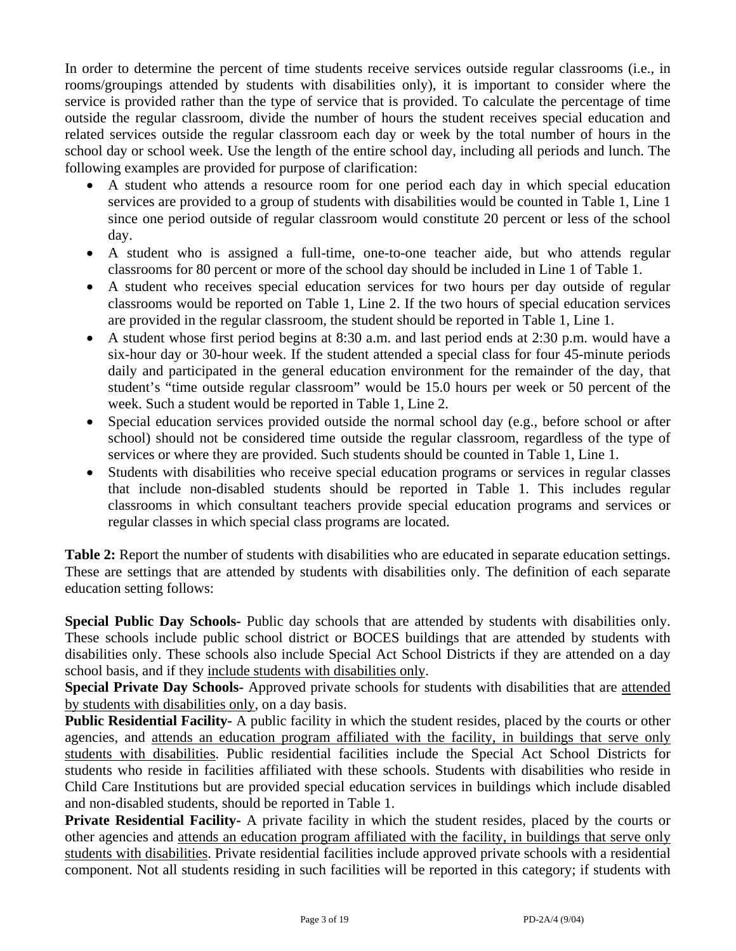In order to determine the percent of time students receive services outside regular classrooms (i.e., in rooms/groupings attended by students with disabilities only), it is important to consider where the service is provided rather than the type of service that is provided. To calculate the percentage of time outside the regular classroom, divide the number of hours the student receives special education and related services outside the regular classroom each day or week by the total number of hours in the school day or school week. Use the length of the entire school day, including all periods and lunch. The following examples are provided for purpose of clarification:

- A student who attends a resource room for one period each day in which special education services are provided to a group of students with disabilities would be counted in Table 1, Line 1 since one period outside of regular classroom would constitute 20 percent or less of the school day.
- A student who is assigned a full-time, one-to-one teacher aide, but who attends regular classrooms for 80 percent or more of the school day should be included in Line 1 of Table 1.
- A student who receives special education services for two hours per day outside of regular classrooms would be reported on Table 1, Line 2. If the two hours of special education services are provided in the regular classroom, the student should be reported in Table 1, Line 1.
- A student whose first period begins at 8:30 a.m. and last period ends at 2:30 p.m. would have a six-hour day or 30-hour week. If the student attended a special class for four 45-minute periods daily and participated in the general education environment for the remainder of the day, that student's "time outside regular classroom" would be 15.0 hours per week or 50 percent of the week. Such a student would be reported in Table 1, Line 2.
- Special education services provided outside the normal school day (e.g., before school or after school) should not be considered time outside the regular classroom, regardless of the type of services or where they are provided. Such students should be counted in Table 1, Line 1.
- Students with disabilities who receive special education programs or services in regular classes that include non-disabled students should be reported in Table 1. This includes regular classrooms in which consultant teachers provide special education programs and services or regular classes in which special class programs are located.

**Table 2:** Report the number of students with disabilities who are educated in separate education settings. These are settings that are attended by students with disabilities only. The definition of each separate education setting follows:

**Special Public Day Schools-** Public day schools that are attended by students with disabilities only. These schools include public school district or BOCES buildings that are attended by students with disabilities only. These schools also include Special Act School Districts if they are attended on a day school basis, and if they include students with disabilities only.

**Special Private Day Schools-** Approved private schools for students with disabilities that are attended by students with disabilities only, on a day basis.

**Public Residential Facility-** A public facility in which the student resides, placed by the courts or other agencies, and attends an education program affiliated with the facility, in buildings that serve only students with disabilities. Public residential facilities include the Special Act School Districts for students who reside in facilities affiliated with these schools. Students with disabilities who reside in Child Care Institutions but are provided special education services in buildings which include disabled and non-disabled students, should be reported in Table 1.

**Private Residential Facility-** A private facility in which the student resides, placed by the courts or other agencies and attends an education program affiliated with the facility, in buildings that serve only students with disabilities. Private residential facilities include approved private schools with a residential component. Not all students residing in such facilities will be reported in this category; if students with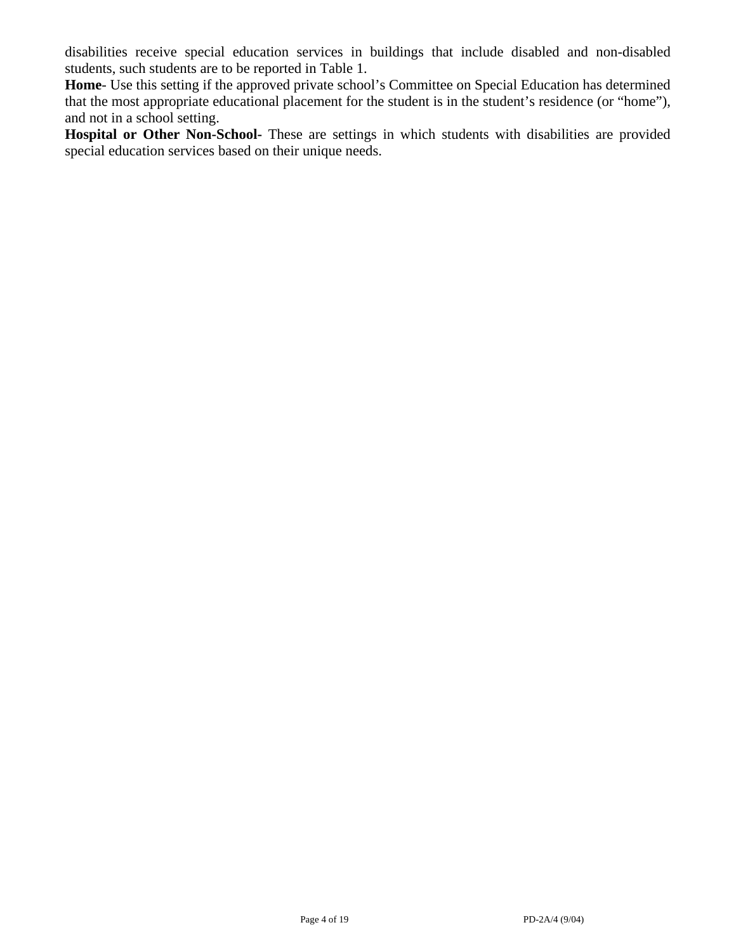disabilities receive special education services in buildings that include disabled and non-disabled students, such students are to be reported in Table 1.

**Home**- Use this setting if the approved private school's Committee on Special Education has determined that the most appropriate educational placement for the student is in the student's residence (or "home"), and not in a school setting.

Hospital or Other Non-School- These are settings in which students with disabilities are provided special education services based on their unique needs.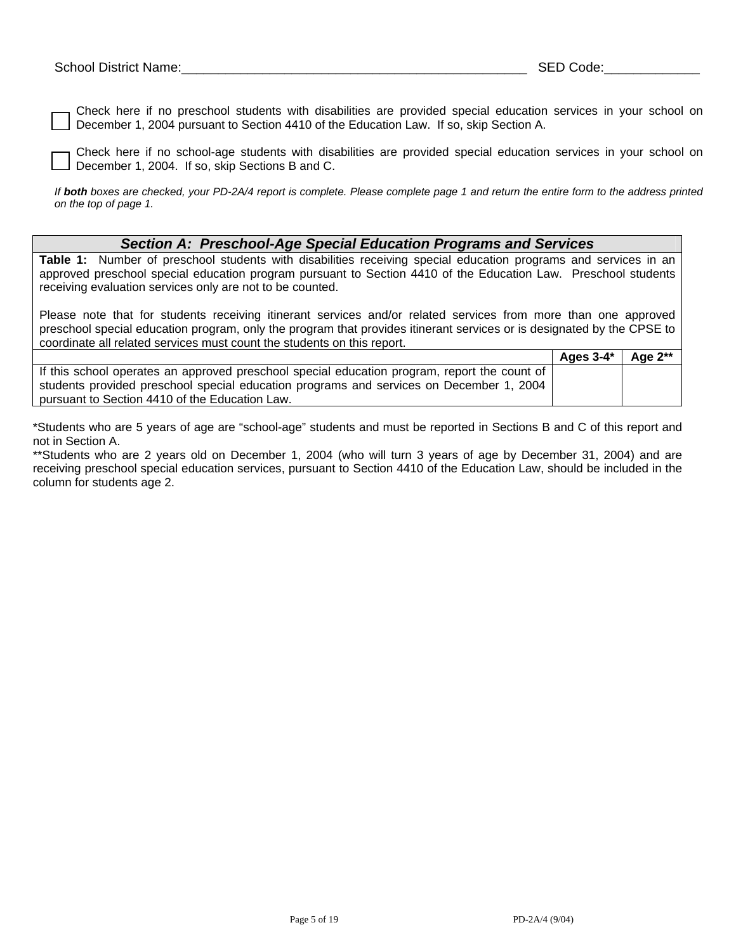Check here if no preschool students with disabilities are provided special education services in your school on December 1, 2004 pursuant to Section 4410 of the Education Law. If so, skip Section A.

Check here if no school-age students with disabilities are provided special education services in your school on December 1, 2004. If so, skip Sections B and C.

*If both boxes are checked, your PD-2A/4 report is complete. Please complete page 1 and return the entire form to the address printed on the top of page 1.* 

#### *Section A: Preschool-Age Special Education Programs and Services*

**Table 1:** Number of preschool students with disabilities receiving special education programs and services in an approved preschool special education program pursuant to Section 4410 of the Education Law. Preschool students receiving evaluation services only are not to be counted.

Please note that for students receiving itinerant services and/or related services from more than one approved preschool special education program, only the program that provides itinerant services or is designated by the CPSE to coordinate all related services must count the students on this report.

|                                                                                              | Ages $3-4^*$ | Age $2^{**}$ |
|----------------------------------------------------------------------------------------------|--------------|--------------|
| If this school operates an approved preschool special education program, report the count of |              |              |
| students provided preschool special education programs and services on December 1, 2004      |              |              |
| pursuant to Section 4410 of the Education Law.                                               |              |              |

\*Students who are 5 years of age are "school-age" students and must be reported in Sections B and C of this report and not in Section A.

\*\*Students who are 2 years old on December 1, 2004 (who will turn 3 years of age by December 31, 2004) and are receiving preschool special education services, pursuant to Section 4410 of the Education Law, should be included in the column for students age 2.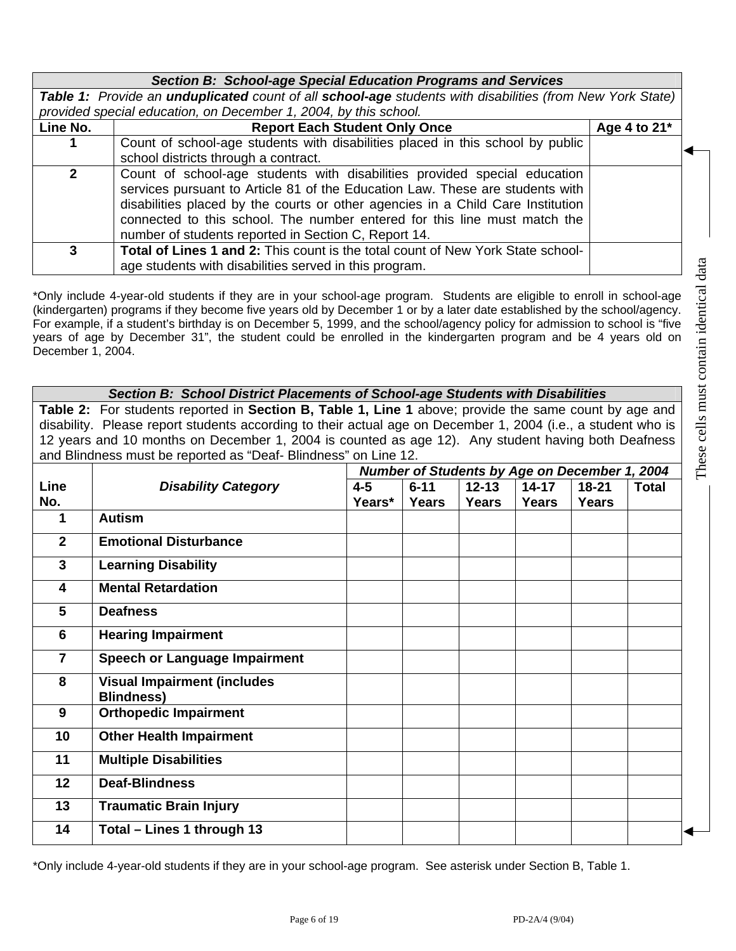|  |  |  | Section B: School-age Special Education Programs and Services |
|--|--|--|---------------------------------------------------------------|
|--|--|--|---------------------------------------------------------------|

*Table 1: Provide an unduplicated count of all school-age students with disabilities (from New York State) provided special education, on December 1, 2004, by this school.* 

| Line No.     | <b>Report Each Student Only Once</b>                                                                                                                                                                                                                                                                                                                                               | Age 4 to $21^*$ |  |
|--------------|------------------------------------------------------------------------------------------------------------------------------------------------------------------------------------------------------------------------------------------------------------------------------------------------------------------------------------------------------------------------------------|-----------------|--|
| 1            | Count of school-age students with disabilities placed in this school by public<br>school districts through a contract.                                                                                                                                                                                                                                                             |                 |  |
| $\mathbf{2}$ | Count of school-age students with disabilities provided special education<br>services pursuant to Article 81 of the Education Law. These are students with<br>disabilities placed by the courts or other agencies in a Child Care Institution<br>connected to this school. The number entered for this line must match the<br>number of students reported in Section C, Report 14. |                 |  |
| 3            | <b>Total of Lines 1 and 2: This count is the total count of New York State school-</b><br>age students with disabilities served in this program.                                                                                                                                                                                                                                   |                 |  |

\*Only include 4-year-old students if they are in your school-age program. Students are eligible to enroll in school-age (kindergarten) programs if they become five years old by December 1 or by a later date established by the school/agency. For example, if a student's birthday is on December 5, 1999, and the school/agency policy for admission to school is "five years of age by December 31", the student could be enrolled in the kindergarten program and be 4 years old on December 1, 2004.

# *Section B: School District Placements of School-age Students with Disabilities*

**Table 2:** For students reported in **Section B, Table 1, Line 1** above; provide the same count by age and disability. Please report students according to their actual age on December 1, 2004 (i.e., a student who is 12 years and 10 months on December 1, 2004 is counted as age 12). Any student having both Deafness and Blindness must be reported as "Deaf- Blindness" on Line 12.

|                  |                                                         | Number of Students by Age on December 1, 2004 |              |           |              |              |              |
|------------------|---------------------------------------------------------|-----------------------------------------------|--------------|-----------|--------------|--------------|--------------|
| <b>Line</b>      | <b>Disability Category</b>                              | $4 - 5$                                       | $6 - 11$     | $12 - 13$ | $14 - 17$    | $18 - 21$    | <b>Total</b> |
| No.              |                                                         | Years*                                        | <b>Years</b> | Years     | <b>Years</b> | <b>Years</b> |              |
| 1                | <b>Autism</b>                                           |                                               |              |           |              |              |              |
| $\mathbf{2}$     | <b>Emotional Disturbance</b>                            |                                               |              |           |              |              |              |
| $\mathbf{3}$     | <b>Learning Disability</b>                              |                                               |              |           |              |              |              |
| 4                | <b>Mental Retardation</b>                               |                                               |              |           |              |              |              |
| 5                | <b>Deafness</b>                                         |                                               |              |           |              |              |              |
| 6                | <b>Hearing Impairment</b>                               |                                               |              |           |              |              |              |
| $\overline{7}$   | <b>Speech or Language Impairment</b>                    |                                               |              |           |              |              |              |
| 8                | <b>Visual Impairment (includes</b><br><b>Blindness)</b> |                                               |              |           |              |              |              |
| $\boldsymbol{9}$ | <b>Orthopedic Impairment</b>                            |                                               |              |           |              |              |              |
| 10               | <b>Other Health Impairment</b>                          |                                               |              |           |              |              |              |
| 11               | <b>Multiple Disabilities</b>                            |                                               |              |           |              |              |              |
| 12 <sup>°</sup>  | <b>Deaf-Blindness</b>                                   |                                               |              |           |              |              |              |
| 13               | <b>Traumatic Brain Injury</b>                           |                                               |              |           |              |              |              |
| 14               | Total - Lines 1 through 13                              |                                               |              |           |              |              |              |

\*Only include 4-year-old students if they are in your school-age program. See asterisk under Section B, Table 1.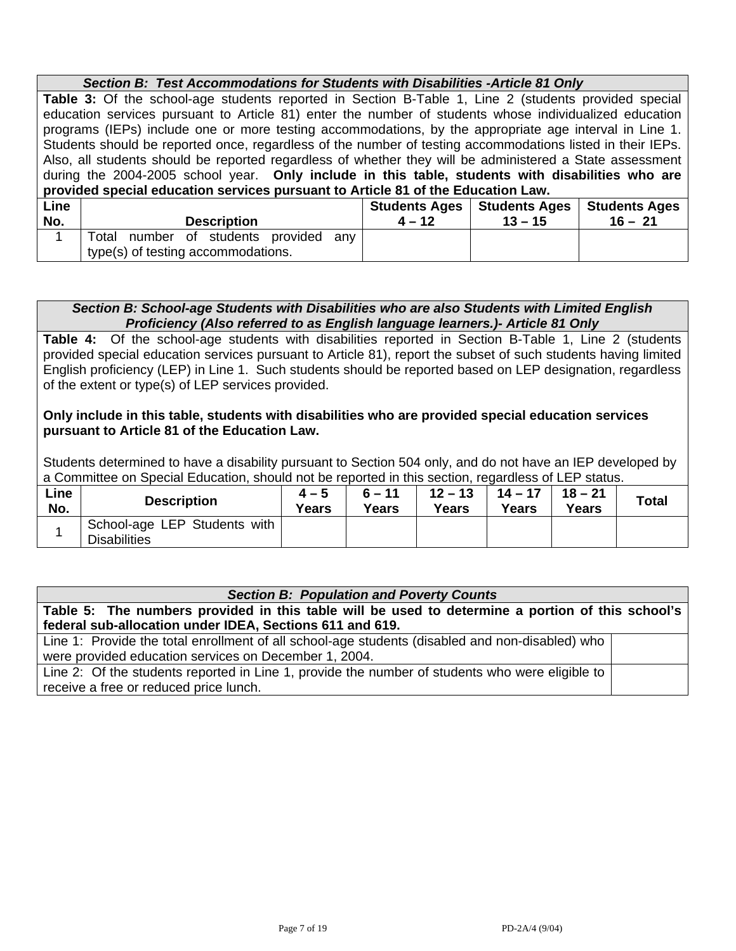|             | Section B: Test Accommodations for Students with Disabilities - Article 81 Only                            |          |                               |                      |  |  |  |
|-------------|------------------------------------------------------------------------------------------------------------|----------|-------------------------------|----------------------|--|--|--|
|             | Table 3: Of the school-age students reported in Section B-Table 1, Line 2 (students provided special       |          |                               |                      |  |  |  |
|             | education services pursuant to Article 81) enter the number of students whose individualized education     |          |                               |                      |  |  |  |
|             | programs (IEPs) include one or more testing accommodations, by the appropriate age interval in Line 1.     |          |                               |                      |  |  |  |
|             | Students should be reported once, regardless of the number of testing accommodations listed in their IEPs. |          |                               |                      |  |  |  |
|             | Also, all students should be reported regardless of whether they will be administered a State assessment   |          |                               |                      |  |  |  |
|             | during the 2004-2005 school year. Only include in this table, students with disabilities who are           |          |                               |                      |  |  |  |
|             | provided special education services pursuant to Article 81 of the Education Law.                           |          |                               |                      |  |  |  |
| Line        |                                                                                                            |          | Students Ages   Students Ages | <b>Students Ages</b> |  |  |  |
| No.         | <b>Description</b>                                                                                         | $4 - 12$ | $13 - 15$                     | $16 - 21$            |  |  |  |
| $\mathbf 1$ | Total number of students<br>provided<br>any                                                                |          |                               |                      |  |  |  |
|             | type(s) of testing accommodations.                                                                         |          |                               |                      |  |  |  |

#### *Section B: School-age Students with Disabilities who are also Students with Limited English Proficiency (Also referred to as English language learners.)- Article 81 Only*

**Table 4:** Of the school-age students with disabilities reported in Section B-Table 1, Line 2 (students provided special education services pursuant to Article 81), report the subset of such students having limited English proficiency (LEP) in Line 1. Such students should be reported based on LEP designation, regardless of the extent or type(s) of LEP services provided.

#### **Only include in this table, students with disabilities who are provided special education services pursuant to Article 81 of the Education Law.**

Students determined to have a disability pursuant to Section 504 only, and do not have an IEP developed by a Committee on Special Education, should not be reported in this section, regardless of LEP status.

| Line<br>No. | <b>Description</b>                                  | $4 - 5$<br><b>Years</b> | $6 - 11$<br>Years | $12 - 13$<br>Years | $14 - 17$<br><b>Years</b> | $18 - 21$<br>Years | <b>Total</b> |
|-------------|-----------------------------------------------------|-------------------------|-------------------|--------------------|---------------------------|--------------------|--------------|
|             | School-age LEP Students with<br><b>Disabilities</b> |                         |                   |                    |                           |                    |              |

#### *Section B: Population and Poverty Counts*

**Table 5: The numbers provided in this table will be used to determine a portion of this school's federal sub-allocation under IDEA, Sections 611 and 619.** 

Line 1: Provide the total enrollment of all school-age students (disabled and non-disabled) who were provided education services on December 1, 2004.

Line 2: Of the students reported in Line 1, provide the number of students who were eligible to receive a free or reduced price lunch.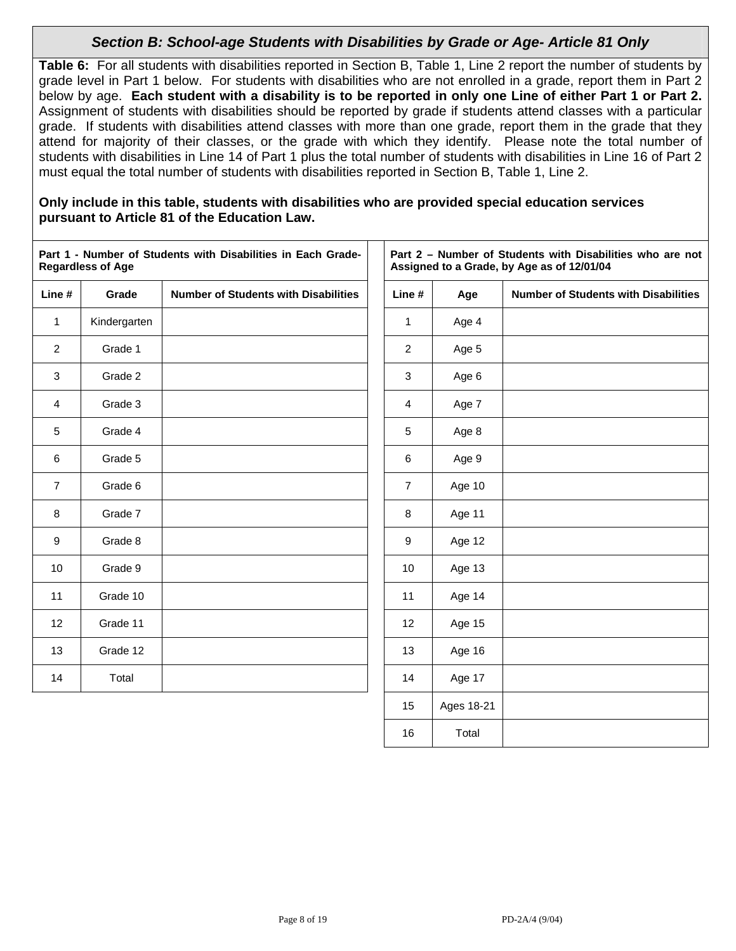# *Section B: School-age Students with Disabilities by Grade or Age- Article 81 Only*

**Table 6:** For all students with disabilities reported in Section B, Table 1, Line 2 report the number of students by grade level in Part 1 below. For students with disabilities who are not enrolled in a grade, report them in Part 2 below by age. **Each student with a disability is to be reported in only one Line of either Part 1 or Part 2.** Assignment of students with disabilities should be reported by grade if students attend classes with a particular grade. If students with disabilities attend classes with more than one grade, report them in the grade that they attend for majority of their classes, or the grade with which they identify. Please note the total number of students with disabilities in Line 14 of Part 1 plus the total number of students with disabilities in Line 16 of Part 2 must equal the total number of students with disabilities reported in Section B, Table 1, Line 2.

#### **Only include in this table, students with disabilities who are provided special education services pursuant to Article 81 of the Education Law.**

|                | <b>Regardless of Age</b> | Part 1 - Number of Students with Disabilities in Each Grade- |                |            | Part 2 - Number of Students with Disabilities who are not<br>Assigned to a Grade, by Age as of 12/01/04 |
|----------------|--------------------------|--------------------------------------------------------------|----------------|------------|---------------------------------------------------------------------------------------------------------|
| Line #         | Grade                    | <b>Number of Students with Disabilities</b>                  | Line#          | Age        | <b>Number of Students with Disabilities</b>                                                             |
| $\mathbf{1}$   | Kindergarten             |                                                              | $\mathbf{1}$   | Age 4      |                                                                                                         |
| 2              | Grade 1                  |                                                              | 2              | Age 5      |                                                                                                         |
| 3              | Grade 2                  |                                                              | 3              | Age 6      |                                                                                                         |
| $\overline{4}$ | Grade 3                  |                                                              | $\overline{4}$ | Age 7      |                                                                                                         |
| 5              | Grade 4                  |                                                              | 5              | Age 8      |                                                                                                         |
| 6              | Grade 5                  |                                                              | 6              | Age 9      |                                                                                                         |
| $\overline{7}$ | Grade 6                  |                                                              | $\overline{7}$ | Age 10     |                                                                                                         |
| 8              | Grade 7                  |                                                              | 8              | Age 11     |                                                                                                         |
| 9              | Grade 8                  |                                                              | 9              | Age 12     |                                                                                                         |
| 10             | Grade 9                  |                                                              | 10             | Age 13     |                                                                                                         |
| 11             | Grade 10                 |                                                              | 11             | Age 14     |                                                                                                         |
| 12             | Grade 11                 |                                                              | 12             | Age 15     |                                                                                                         |
| 13             | Grade 12                 |                                                              | 13             | Age 16     |                                                                                                         |
| 14             | Total                    |                                                              | 14             | Age 17     |                                                                                                         |
|                |                          |                                                              | 15             | Ages 18-21 |                                                                                                         |

16 Total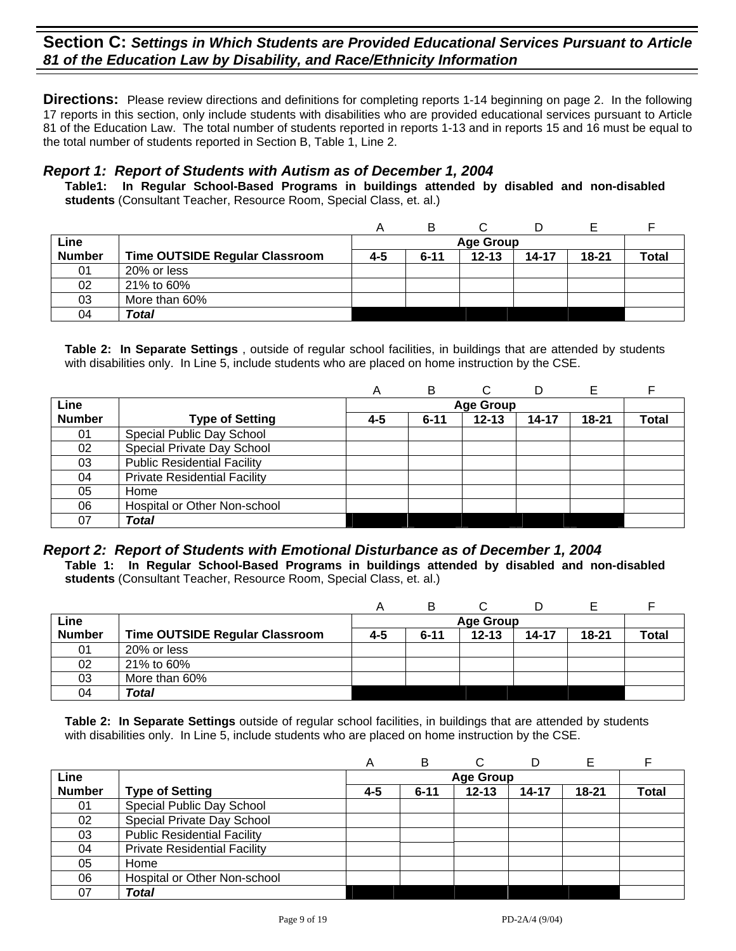**Directions:** Please review directions and definitions for completing reports 1-14 beginning on page 2. In the following 17 reports in this section, only include students with disabilities who are provided educational services pursuant to Article 81 of the Education Law. The total number of students reported in reports 1-13 and in reports 15 and 16 must be equal to the total number of students reported in Section B, Table 1, Line 2.

### *Report 1: Report of Students with Autism as of December 1, 2004*

**Table1: In Regular School-Based Programs in buildings attended by disabled and non-disabled students** (Consultant Teacher, Resource Room, Special Class, et. al.)

| Line          |                                       |     |          | <b>Age Group</b> |           |           |              |
|---------------|---------------------------------------|-----|----------|------------------|-----------|-----------|--------------|
| <b>Number</b> | <b>Time OUTSIDE Regular Classroom</b> | 4-5 | $6 - 11$ | $12 - 13$        | $14 - 17$ | $18 - 21$ | <b>Total</b> |
| 01            | 20% or less                           |     |          |                  |           |           |              |
| 02            | 21% to 60%                            |     |          |                  |           |           |              |
| 03            | More than 60%                         |     |          |                  |           |           |              |
| 04            | <b>Total</b>                          |     |          |                  |           |           |              |

**Table 2: In Separate Settings** , outside of regular school facilities, in buildings that are attended by students with disabilities only. In Line 5, include students who are placed on home instruction by the CSE.

|               |                                     | Α   | В        |                  |           |           |       |
|---------------|-------------------------------------|-----|----------|------------------|-----------|-----------|-------|
| Line          |                                     |     |          | <b>Age Group</b> |           |           |       |
| <b>Number</b> | <b>Type of Setting</b>              | 4-5 | $6 - 11$ | $12 - 13$        | $14 - 17$ | $18 - 21$ | Total |
| 01            | Special Public Day School           |     |          |                  |           |           |       |
| 02            | Special Private Day School          |     |          |                  |           |           |       |
| 03            | <b>Public Residential Facility</b>  |     |          |                  |           |           |       |
| 04            | <b>Private Residential Facility</b> |     |          |                  |           |           |       |
| 05            | Home                                |     |          |                  |           |           |       |
| 06            | Hospital or Other Non-school        |     |          |                  |           |           |       |
| 07            | <b>Total</b>                        |     |          |                  |           |           |       |

# *Report 2: Report of Students with Emotional Disturbance as of December 1, 2004*

**Table 1: In Regular School-Based Programs in buildings attended by disabled and non-disabled students** (Consultant Teacher, Resource Room, Special Class, et. al.)

| Line          |                                       |     |          | <b>Age Group</b> |           |           |              |
|---------------|---------------------------------------|-----|----------|------------------|-----------|-----------|--------------|
| <b>Number</b> | <b>Time OUTSIDE Regular Classroom</b> | 4-5 | $6 - 11$ | $12 - 13$        | $14 - 17$ | $18 - 21$ | <b>Total</b> |
| 01            | 20% or less                           |     |          |                  |           |           |              |
| 02            | 21% to 60%                            |     |          |                  |           |           |              |
| 03            | More than 60%                         |     |          |                  |           |           |              |
| 04            | Total                                 |     |          |                  |           |           |              |

|               |                                     | A   | в        |                  | D     | Е         |              |
|---------------|-------------------------------------|-----|----------|------------------|-------|-----------|--------------|
| Line          |                                     |     |          | <b>Age Group</b> |       |           |              |
| <b>Number</b> | <b>Type of Setting</b>              | 4-5 | $6 - 11$ | $12 - 13$        | 14-17 | $18 - 21$ | <b>Total</b> |
| 01            | Special Public Day School           |     |          |                  |       |           |              |
| 02            | Special Private Day School          |     |          |                  |       |           |              |
| 03            | <b>Public Residential Facility</b>  |     |          |                  |       |           |              |
| 04            | <b>Private Residential Facility</b> |     |          |                  |       |           |              |
| 05            | Home                                |     |          |                  |       |           |              |
| 06            | Hospital or Other Non-school        |     |          |                  |       |           |              |
| 07            | <b>Total</b>                        |     |          |                  |       |           |              |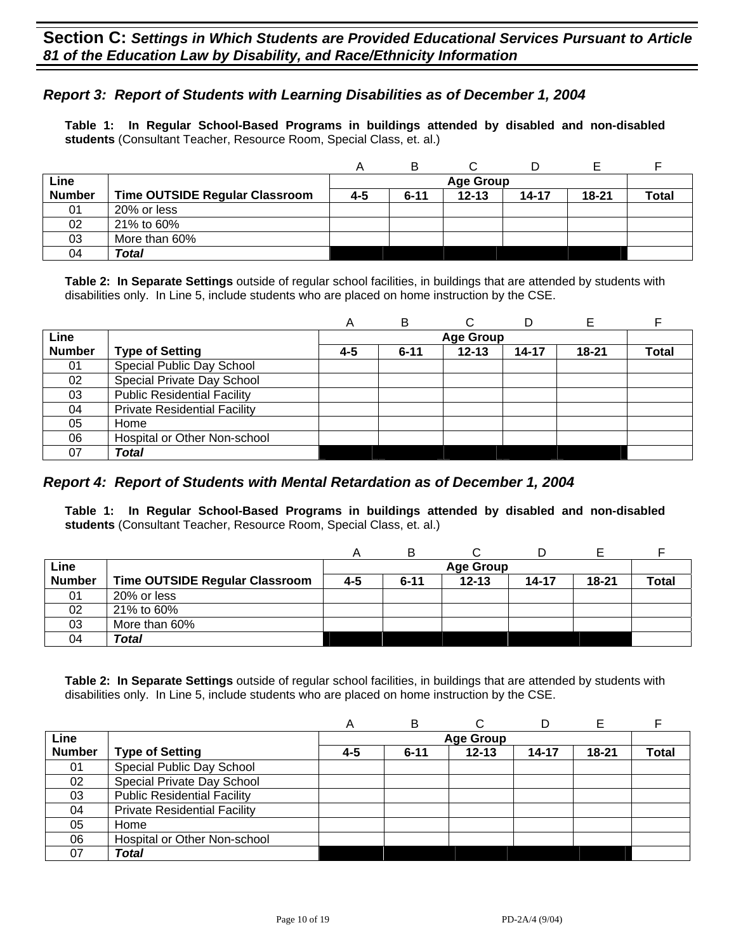## *Report 3: Report of Students with Learning Disabilities as of December 1, 2004*

**Table 1: In Regular School-Based Programs in buildings attended by disabled and non-disabled students** (Consultant Teacher, Resource Room, Special Class, et. al.)

|               |                                | А   | В        |                  |       |       |              |
|---------------|--------------------------------|-----|----------|------------------|-------|-------|--------------|
| Line          |                                |     |          | <b>Age Group</b> |       |       |              |
| <b>Number</b> | Time OUTSIDE Regular Classroom | 4-5 | $6 - 11$ | $12 - 13$        | 14-17 | 18-21 | <b>Total</b> |
| 01            | 20% or less                    |     |          |                  |       |       |              |
| 02            | 21% to 60%                     |     |          |                  |       |       |              |
| 03            | More than 60%                  |     |          |                  |       |       |              |
| 04            | Total                          |     |          |                  |       |       |              |

**Table 2: In Separate Settings** outside of regular school facilities, in buildings that are attended by students with disabilities only. In Line 5, include students who are placed on home instruction by the CSE.

|               |                                     | A   | B        |                  | D         |           |              |
|---------------|-------------------------------------|-----|----------|------------------|-----------|-----------|--------------|
| Line          |                                     |     |          | <b>Age Group</b> |           |           |              |
| <b>Number</b> | <b>Type of Setting</b>              | 4-5 | $6 - 11$ | $12 - 13$        | $14 - 17$ | $18 - 21$ | <b>Total</b> |
| 01            | Special Public Day School           |     |          |                  |           |           |              |
| 02            | Special Private Day School          |     |          |                  |           |           |              |
| 03            | <b>Public Residential Facility</b>  |     |          |                  |           |           |              |
| 04            | <b>Private Residential Facility</b> |     |          |                  |           |           |              |
| 05            | Home                                |     |          |                  |           |           |              |
| 06            | Hospital or Other Non-school        |     |          |                  |           |           |              |
| 07            | Total                               |     |          |                  |           |           |              |

#### *Report 4: Report of Students with Mental Retardation as of December 1, 2004*

**Table 1: In Regular School-Based Programs in buildings attended by disabled and non-disabled students** (Consultant Teacher, Resource Room, Special Class, et. al.)

|               |                                | Α   | B        |                  |       |           |       |
|---------------|--------------------------------|-----|----------|------------------|-------|-----------|-------|
| Line          |                                |     |          | <b>Age Group</b> |       |           |       |
| <b>Number</b> | Time OUTSIDE Regular Classroom | 4-5 | $6 - 11$ | $12 - 13$        | 14-17 | $18 - 21$ | Total |
| 01            | 20% or less                    |     |          |                  |       |           |       |
| 02            | 21% to 60%                     |     |          |                  |       |           |       |
| 03            | More than 60%                  |     |          |                  |       |           |       |
| 04            | Total                          |     |          |                  |       |           |       |

|               |                                     | A   | B        |                  |       |           |       |
|---------------|-------------------------------------|-----|----------|------------------|-------|-----------|-------|
| Line          |                                     |     |          | <b>Age Group</b> |       |           |       |
| <b>Number</b> | <b>Type of Setting</b>              | 4-5 | $6 - 11$ | $12 - 13$        | 14-17 | $18 - 21$ | Total |
| 01            | Special Public Day School           |     |          |                  |       |           |       |
| 02            | Special Private Day School          |     |          |                  |       |           |       |
| 03            | <b>Public Residential Facility</b>  |     |          |                  |       |           |       |
| 04            | <b>Private Residential Facility</b> |     |          |                  |       |           |       |
| 05            | Home                                |     |          |                  |       |           |       |
| 06            | Hospital or Other Non-school        |     |          |                  |       |           |       |
| 07            | Total                               |     |          |                  |       |           |       |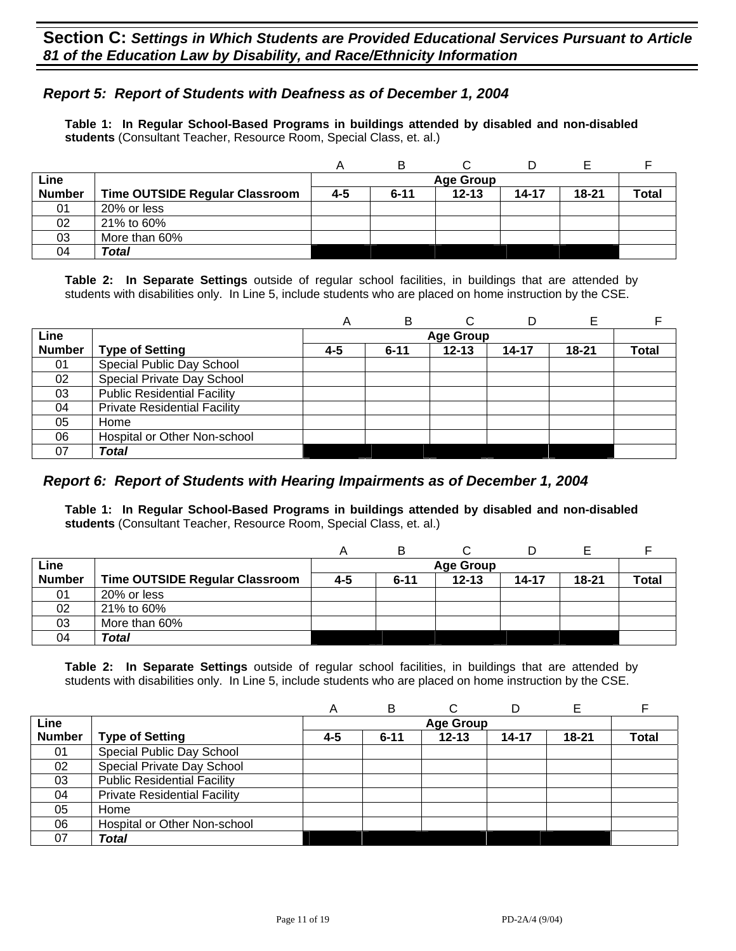## *Report 5: Report of Students with Deafness as of December 1, 2004*

**Table 1: In Regular School-Based Programs in buildings attended by disabled and non-disabled students** (Consultant Teacher, Resource Room, Special Class, et. al.)

|               |                                       | Α       |                  |           |           |           |       |  |  |
|---------------|---------------------------------------|---------|------------------|-----------|-----------|-----------|-------|--|--|
| Line          |                                       |         | <b>Age Group</b> |           |           |           |       |  |  |
| <b>Number</b> | <b>Time OUTSIDE Regular Classroom</b> | $4 - 5$ | $6 - 11$         | $12 - 13$ | $14 - 17$ | $18 - 21$ | Total |  |  |
| 01            | 20% or less                           |         |                  |           |           |           |       |  |  |
| 02            | 21% to 60%                            |         |                  |           |           |           |       |  |  |
| 03            | More than 60%                         |         |                  |           |           |           |       |  |  |
| 04            | Total                                 |         |                  |           |           |           |       |  |  |

**Table 2: In Separate Settings** outside of regular school facilities, in buildings that are attended by students with disabilities only. In Line 5, include students who are placed on home instruction by the CSE.

|               |                                     | A   | в        |                  |       |           |              |
|---------------|-------------------------------------|-----|----------|------------------|-------|-----------|--------------|
| Line          |                                     |     |          | <b>Age Group</b> |       |           |              |
| <b>Number</b> | <b>Type of Setting</b>              | 4-5 | $6 - 11$ | $12 - 13$        | 14-17 | $18 - 21$ | <b>Total</b> |
| 01            | Special Public Day School           |     |          |                  |       |           |              |
| 02            | Special Private Day School          |     |          |                  |       |           |              |
| 03            | <b>Public Residential Facility</b>  |     |          |                  |       |           |              |
| 04            | <b>Private Residential Facility</b> |     |          |                  |       |           |              |
| 05            | Home                                |     |          |                  |       |           |              |
| 06            | Hospital or Other Non-school        |     |          |                  |       |           |              |
| 07            | <b>Total</b>                        |     |          |                  |       |           |              |

#### *Report 6: Report of Students with Hearing Impairments as of December 1, 2004*

**Table 1: In Regular School-Based Programs in buildings attended by disabled and non-disabled students** (Consultant Teacher, Resource Room, Special Class, et. al.)

| Line          |                                |     |          | <b>Age Group</b> |       |       |              |
|---------------|--------------------------------|-----|----------|------------------|-------|-------|--------------|
| <b>Number</b> | Time OUTSIDE Regular Classroom | 4-5 | $6 - 11$ | $12 - 13$        | 14-17 | 18-21 | <b>Total</b> |
| 01            | 20% or less                    |     |          |                  |       |       |              |
| 02            | 21% to 60%                     |     |          |                  |       |       |              |
| 03            | More than 60%                  |     |          |                  |       |       |              |
| 04            | Total                          |     |          |                  |       |       |              |

|               |                                     | $\forall$ | B        |                  |       |           |              |
|---------------|-------------------------------------|-----------|----------|------------------|-------|-----------|--------------|
| Line          |                                     |           |          | <b>Age Group</b> |       |           |              |
| <b>Number</b> | <b>Type of Setting</b>              | 4-5       | $6 - 11$ | $12 - 13$        | 14-17 | $18 - 21$ | <b>Total</b> |
| 01            | Special Public Day School           |           |          |                  |       |           |              |
| 02            | Special Private Day School          |           |          |                  |       |           |              |
| 03            | <b>Public Residential Facility</b>  |           |          |                  |       |           |              |
| 04            | <b>Private Residential Facility</b> |           |          |                  |       |           |              |
| 05            | Home                                |           |          |                  |       |           |              |
| 06            | Hospital or Other Non-school        |           |          |                  |       |           |              |
| 07            | Total                               |           |          |                  |       |           |              |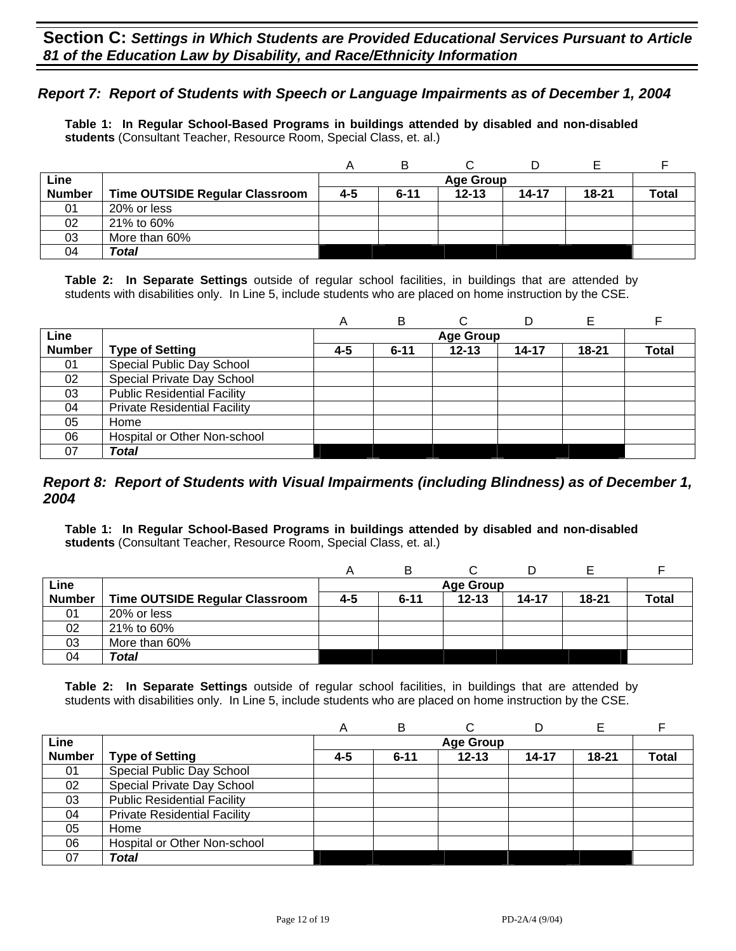### *Report 7: Report of Students with Speech or Language Impairments as of December 1, 2004*

**Table 1: In Regular School-Based Programs in buildings attended by disabled and non-disabled students** (Consultant Teacher, Resource Room, Special Class, et. al.)

|               |                                       |     | в        |                  |           |           |              |
|---------------|---------------------------------------|-----|----------|------------------|-----------|-----------|--------------|
| Line          |                                       |     |          | <b>Age Group</b> |           |           |              |
| <b>Number</b> | <b>Time OUTSIDE Regular Classroom</b> | 4-5 | $6 - 11$ | $12 - 13$        | $14 - 17$ | $18 - 21$ | <b>Total</b> |
| 01            | 20% or less                           |     |          |                  |           |           |              |
| 02            | 21% to 60%                            |     |          |                  |           |           |              |
| 03            | More than 60%                         |     |          |                  |           |           |              |
| 04            | Total                                 |     |          |                  |           |           |              |

**Table 2: In Separate Settings** outside of regular school facilities, in buildings that are attended by students with disabilities only. In Line 5, include students who are placed on home instruction by the CSE.

|               |                                     | Α   | в        | С                | D     |           |              |
|---------------|-------------------------------------|-----|----------|------------------|-------|-----------|--------------|
| Line          |                                     |     |          | <b>Age Group</b> |       |           |              |
| <b>Number</b> | <b>Type of Setting</b>              | 4-5 | $6 - 11$ | $12 - 13$        | 14-17 | $18 - 21$ | <b>Total</b> |
| 01            | Special Public Day School           |     |          |                  |       |           |              |
| 02            | Special Private Day School          |     |          |                  |       |           |              |
| 03            | <b>Public Residential Facility</b>  |     |          |                  |       |           |              |
| 04            | <b>Private Residential Facility</b> |     |          |                  |       |           |              |
| 05            | Home                                |     |          |                  |       |           |              |
| 06            | Hospital or Other Non-school        |     |          |                  |       |           |              |
| 07            | Total                               |     |          |                  |       |           |              |

#### *Report 8: Report of Students with Visual Impairments (including Blindness) as of December 1, 2004*

**Table 1: In Regular School-Based Programs in buildings attended by disabled and non-disabled students** (Consultant Teacher, Resource Room, Special Class, et. al.)

|               |                                       |     | в                |           |           |           |              |  |  |
|---------------|---------------------------------------|-----|------------------|-----------|-----------|-----------|--------------|--|--|
| Line          |                                       |     | <b>Age Group</b> |           |           |           |              |  |  |
| <b>Number</b> | <b>Time OUTSIDE Regular Classroom</b> | 4-5 | $6 - 11$         | $12 - 13$ | $14 - 17$ | $18 - 21$ | <b>Total</b> |  |  |
| 01            | 20% or less                           |     |                  |           |           |           |              |  |  |
| 02            | 21% to 60%                            |     |                  |           |           |           |              |  |  |
| 03            | More than 60%                         |     |                  |           |           |           |              |  |  |
| 04            | Total                                 |     |                  |           |           |           |              |  |  |

|               |                                     | Α   | в        |                  |           |           |       |
|---------------|-------------------------------------|-----|----------|------------------|-----------|-----------|-------|
| Line          |                                     |     |          | <b>Age Group</b> |           |           |       |
| <b>Number</b> | <b>Type of Setting</b>              | 4-5 | $6 - 11$ | $12 - 13$        | $14 - 17$ | $18 - 21$ | Total |
| 01            | Special Public Day School           |     |          |                  |           |           |       |
| 02            | Special Private Day School          |     |          |                  |           |           |       |
| 03            | <b>Public Residential Facility</b>  |     |          |                  |           |           |       |
| 04            | <b>Private Residential Facility</b> |     |          |                  |           |           |       |
| 05            | Home                                |     |          |                  |           |           |       |
| 06            | Hospital or Other Non-school        |     |          |                  |           |           |       |
| 07            | Total                               |     |          |                  |           |           |       |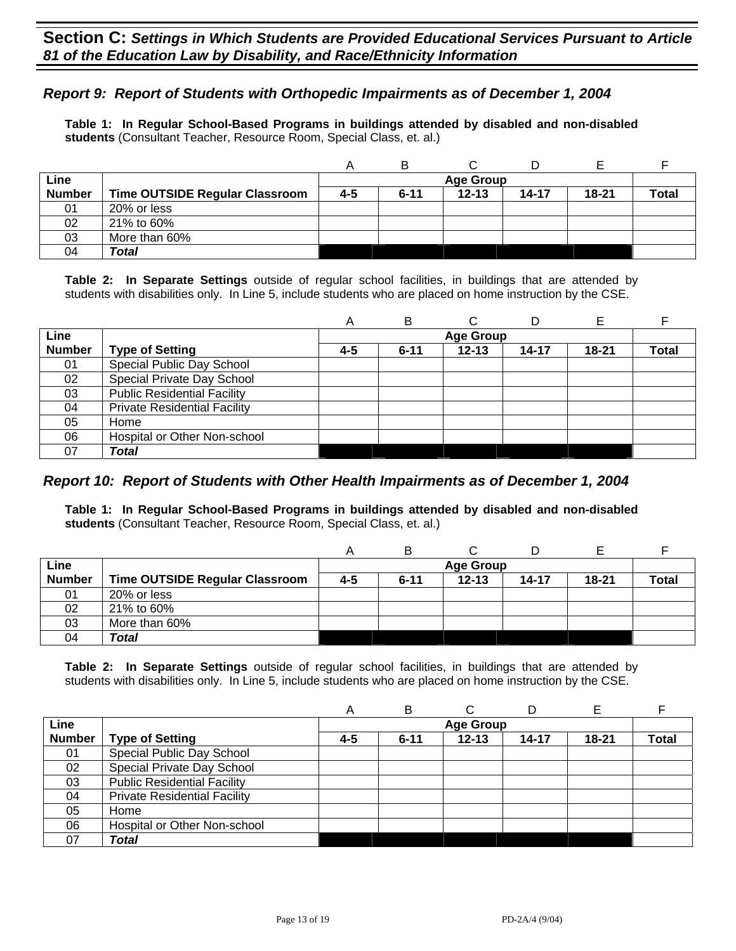## *Report 9: Report of Students with Orthopedic Impairments as of December 1, 2004*

**Table 1: In Regular School-Based Programs in buildings attended by disabled and non-disabled students** (Consultant Teacher, Resource Room, Special Class, et. al.)

|               |                                |     | в                |           |           |           |              |  |  |  |
|---------------|--------------------------------|-----|------------------|-----------|-----------|-----------|--------------|--|--|--|
| Line          |                                |     | <b>Age Group</b> |           |           |           |              |  |  |  |
| <b>Number</b> | Time OUTSIDE Regular Classroom | 4-5 | $6 - 11$         | $12 - 13$ | $14 - 17$ | $18 - 21$ | <b>Total</b> |  |  |  |
| 01            | 20% or less                    |     |                  |           |           |           |              |  |  |  |
| 02            | 21% to 60%                     |     |                  |           |           |           |              |  |  |  |
| 03            | More than 60%                  |     |                  |           |           |           |              |  |  |  |
| 04            | Total                          |     |                  |           |           |           |              |  |  |  |

**Table 2: In Separate Settings** outside of regular school facilities, in buildings that are attended by students with disabilities only. In Line 5, include students who are placed on home instruction by the CSE.

|               |                                     | A   | В        | C                | D     | Е         |       |
|---------------|-------------------------------------|-----|----------|------------------|-------|-----------|-------|
| Line          |                                     |     |          | <b>Age Group</b> |       |           |       |
| <b>Number</b> | <b>Type of Setting</b>              | 4-5 | $6 - 11$ | $12 - 13$        | 14-17 | $18 - 21$ | Total |
| 01            | Special Public Day School           |     |          |                  |       |           |       |
| 02            | Special Private Day School          |     |          |                  |       |           |       |
| 03            | <b>Public Residential Facility</b>  |     |          |                  |       |           |       |
| 04            | <b>Private Residential Facility</b> |     |          |                  |       |           |       |
| 05            | Home                                |     |          |                  |       |           |       |
| 06            | Hospital or Other Non-school        |     |          |                  |       |           |       |
| 07            | Total                               |     |          |                  |       |           |       |

#### *Report 10: Report of Students with Other Health Impairments as of December 1, 2004*

**Table 1: In Regular School-Based Programs in buildings attended by disabled and non-disabled students** (Consultant Teacher, Resource Room, Special Class, et. al.)

|               |                                |     | в                |           |           |       |              |  |  |  |
|---------------|--------------------------------|-----|------------------|-----------|-----------|-------|--------------|--|--|--|
| Line          |                                |     | <b>Age Group</b> |           |           |       |              |  |  |  |
| <b>Number</b> | Time OUTSIDE Regular Classroom | 4-5 | $6 - 11$         | $12 - 13$ | $14 - 17$ | 18-21 | <b>Total</b> |  |  |  |
| 01            | 20% or less                    |     |                  |           |           |       |              |  |  |  |
| 02            | 21% to 60%                     |     |                  |           |           |       |              |  |  |  |
| 03            | More than 60%                  |     |                  |           |           |       |              |  |  |  |
| 04            | Total                          |     |                  |           |           |       |              |  |  |  |

|               |                                     | Α   | в        |                  |           |           |              |
|---------------|-------------------------------------|-----|----------|------------------|-----------|-----------|--------------|
| Line          |                                     |     |          | <b>Age Group</b> |           |           |              |
| <b>Number</b> | <b>Type of Setting</b>              | 4-5 | $6 - 11$ | $12 - 13$        | $14 - 17$ | $18 - 21$ | <b>Total</b> |
| 01            | Special Public Day School           |     |          |                  |           |           |              |
| 02            | Special Private Day School          |     |          |                  |           |           |              |
| 03            | <b>Public Residential Facility</b>  |     |          |                  |           |           |              |
| 04            | <b>Private Residential Facility</b> |     |          |                  |           |           |              |
| 05            | Home                                |     |          |                  |           |           |              |
| 06            | Hospital or Other Non-school        |     |          |                  |           |           |              |
| 07            | <b>Total</b>                        |     |          |                  |           |           |              |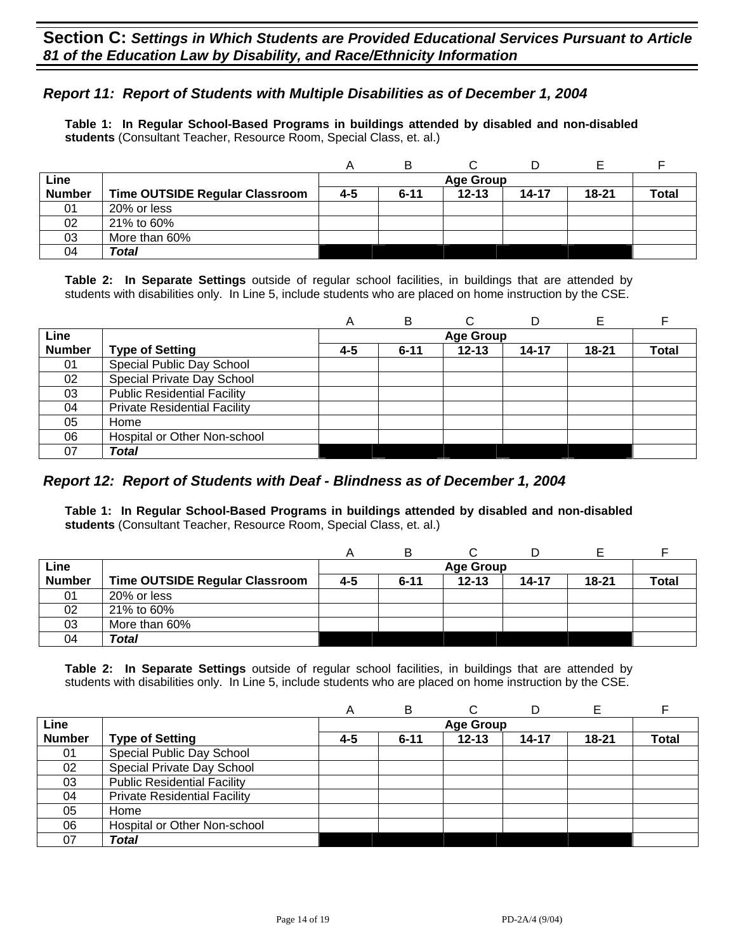## *Report 11: Report of Students with Multiple Disabilities as of December 1, 2004*

**Table 1: In Regular School-Based Programs in buildings attended by disabled and non-disabled students** (Consultant Teacher, Resource Room, Special Class, et. al.)

|               |                                       |     | B                |           |       |           |              |  |  |
|---------------|---------------------------------------|-----|------------------|-----------|-------|-----------|--------------|--|--|
| Line          |                                       |     | <b>Age Group</b> |           |       |           |              |  |  |
| <b>Number</b> | <b>Time OUTSIDE Regular Classroom</b> | 4-5 | $6 - 11$         | $12 - 13$ | 14-17 | $18 - 21$ | <b>Total</b> |  |  |
| 01            | 20% or less                           |     |                  |           |       |           |              |  |  |
| 02            | 21% to 60%                            |     |                  |           |       |           |              |  |  |
| 03            | More than 60%                         |     |                  |           |       |           |              |  |  |
| 04            | Total                                 |     |                  |           |       |           |              |  |  |

**Table 2: In Separate Settings** outside of regular school facilities, in buildings that are attended by students with disabilities only. In Line 5, include students who are placed on home instruction by the CSE.

|               |                                     | A   | в        |                  | D     | Е     |       |
|---------------|-------------------------------------|-----|----------|------------------|-------|-------|-------|
| Line          |                                     |     |          | <b>Age Group</b> |       |       |       |
| <b>Number</b> | <b>Type of Setting</b>              | 4-5 | $6 - 11$ | $12 - 13$        | 14-17 | 18-21 | Total |
| 01            | Special Public Day School           |     |          |                  |       |       |       |
| 02            | Special Private Day School          |     |          |                  |       |       |       |
| 03            | <b>Public Residential Facility</b>  |     |          |                  |       |       |       |
| 04            | <b>Private Residential Facility</b> |     |          |                  |       |       |       |
| 05            | Home                                |     |          |                  |       |       |       |
| 06            | Hospital or Other Non-school        |     |          |                  |       |       |       |
| 07            | Total                               |     |          |                  |       |       |       |

#### *Report 12: Report of Students with Deaf - Blindness as of December 1, 2004*

**Table 1: In Regular School-Based Programs in buildings attended by disabled and non-disabled students** (Consultant Teacher, Resource Room, Special Class, et. al.)

|               |                                |     | B        |                  |           |           |              |
|---------------|--------------------------------|-----|----------|------------------|-----------|-----------|--------------|
| Line          |                                |     |          | <b>Age Group</b> |           |           |              |
| <b>Number</b> | Time OUTSIDE Regular Classroom | 4-5 | $6 - 11$ | $12 - 13$        | $14 - 17$ | $18 - 21$ | <b>Total</b> |
| 01            | 20% or less                    |     |          |                  |           |           |              |
| 02            | 21% to 60%                     |     |          |                  |           |           |              |
| 03            | More than 60%                  |     |          |                  |           |           |              |
| 04            | Total                          |     |          |                  |           |           |              |

|               |                                     | А       | в        | C                |           | Е         |              |
|---------------|-------------------------------------|---------|----------|------------------|-----------|-----------|--------------|
| Line          |                                     |         |          | <b>Age Group</b> |           |           |              |
| <b>Number</b> | <b>Type of Setting</b>              | $4 - 5$ | $6 - 11$ | $12 - 13$        | $14 - 17$ | $18 - 21$ | <b>Total</b> |
| 01            | Special Public Day School           |         |          |                  |           |           |              |
| 02            | Special Private Day School          |         |          |                  |           |           |              |
| 03            | <b>Public Residential Facility</b>  |         |          |                  |           |           |              |
| 04            | <b>Private Residential Facility</b> |         |          |                  |           |           |              |
| 05            | Home                                |         |          |                  |           |           |              |
| 06            | Hospital or Other Non-school        |         |          |                  |           |           |              |
| 07            | Total                               |         |          |                  |           |           |              |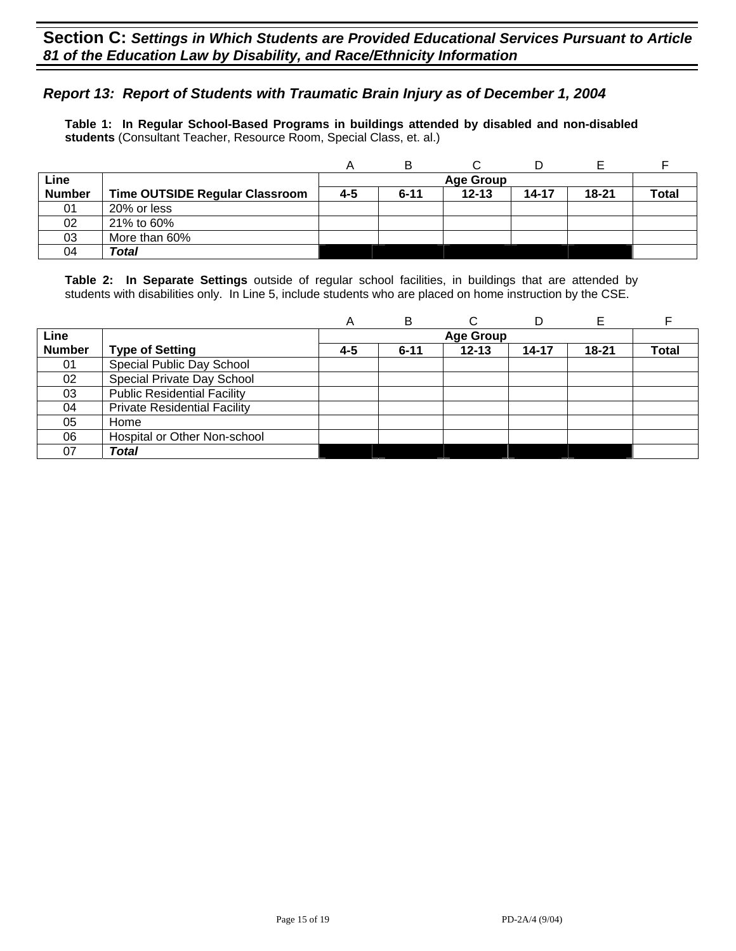## *Report 13: Report of Students with Traumatic Brain Injury as of December 1, 2004*

**Table 1: In Regular School-Based Programs in buildings attended by disabled and non-disabled students** (Consultant Teacher, Resource Room, Special Class, et. al.)

|               |                                |     | в        |                  |           |       |              |
|---------------|--------------------------------|-----|----------|------------------|-----------|-------|--------------|
| Line          |                                |     |          | <b>Age Group</b> |           |       |              |
| <b>Number</b> | Time OUTSIDE Regular Classroom | 4-5 | $6 - 11$ | $12 - 13$        | $14 - 17$ | 18-21 | <b>Total</b> |
| 01            | 20% or less                    |     |          |                  |           |       |              |
| 02            | 21% to 60%                     |     |          |                  |           |       |              |
| 03            | More than 60%                  |     |          |                  |           |       |              |
| 04            | Total                          |     |          |                  |           |       |              |

|               |                                     | A   | в        | ⌒                | D     |           |              |
|---------------|-------------------------------------|-----|----------|------------------|-------|-----------|--------------|
| Line          |                                     |     |          | <b>Age Group</b> |       |           |              |
| <b>Number</b> | <b>Type of Setting</b>              | 4-5 | $6 - 11$ | $12 - 13$        | 14-17 | $18 - 21$ | <b>Total</b> |
| 01            | Special Public Day School           |     |          |                  |       |           |              |
| 02            | Special Private Day School          |     |          |                  |       |           |              |
| 03            | <b>Public Residential Facility</b>  |     |          |                  |       |           |              |
| 04            | <b>Private Residential Facility</b> |     |          |                  |       |           |              |
| 05            | Home                                |     |          |                  |       |           |              |
| 06            | Hospital or Other Non-school        |     |          |                  |       |           |              |
| 07            | Total                               |     |          |                  |       |           |              |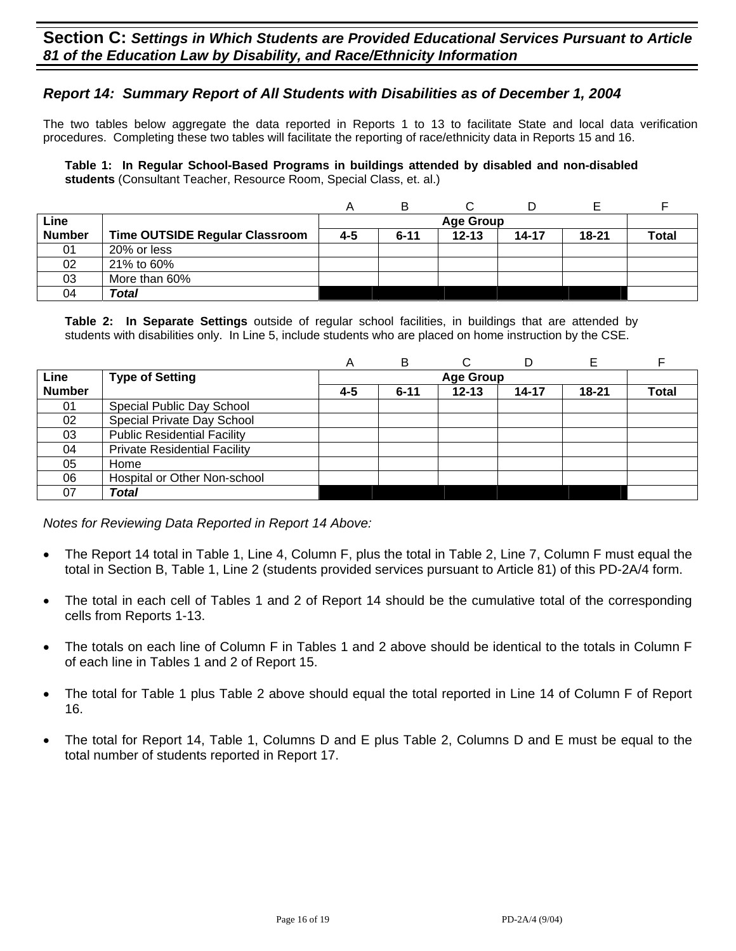### *Report 14: Summary Report of All Students with Disabilities as of December 1, 2004*

The two tables below aggregate the data reported in Reports 1 to 13 to facilitate State and local data verification procedures. Completing these two tables will facilitate the reporting of race/ethnicity data in Reports 15 and 16.

**Table 1: In Regular School-Based Programs in buildings attended by disabled and non-disabled students** (Consultant Teacher, Resource Room, Special Class, et. al.)

|               |                                       |         | в        |           |           |           |              |
|---------------|---------------------------------------|---------|----------|-----------|-----------|-----------|--------------|
| Line          |                                       |         |          |           |           |           |              |
| <b>Number</b> | <b>Time OUTSIDE Regular Classroom</b> | $4 - 5$ | $6 - 11$ | $12 - 13$ | $14 - 17$ | $18 - 21$ | <b>Total</b> |
| 01            | 20% or less                           |         |          |           |           |           |              |
| 02            | 21% to 60%                            |         |          |           |           |           |              |
| 03            | More than 60%                         |         |          |           |           |           |              |
| 04            | Total                                 |         |          |           |           |           |              |

**Table 2: In Separate Settings** outside of regular school facilities, in buildings that are attended by students with disabilities only. In Line 5, include students who are placed on home instruction by the CSE.

|               |                                     | A       | B                | С         |       |           |              |  |  |
|---------------|-------------------------------------|---------|------------------|-----------|-------|-----------|--------------|--|--|
| Line          | <b>Type of Setting</b>              |         | <b>Age Group</b> |           |       |           |              |  |  |
| <b>Number</b> |                                     | $4 - 5$ | $6 - 11$         | $12 - 13$ | 14-17 | $18 - 21$ | <b>Total</b> |  |  |
| 01            | Special Public Day School           |         |                  |           |       |           |              |  |  |
| 02            | Special Private Day School          |         |                  |           |       |           |              |  |  |
| 03            | <b>Public Residential Facility</b>  |         |                  |           |       |           |              |  |  |
| 04            | <b>Private Residential Facility</b> |         |                  |           |       |           |              |  |  |
| 05            | Home                                |         |                  |           |       |           |              |  |  |
| 06            | Hospital or Other Non-school        |         |                  |           |       |           |              |  |  |
| 07            | Total                               |         |                  |           |       |           |              |  |  |

*Notes for Reviewing Data Reported in Report 14 Above:* 

- The Report 14 total in Table 1, Line 4, Column F, plus the total in Table 2, Line 7, Column F must equal the total in Section B, Table 1, Line 2 (students provided services pursuant to Article 81) of this PD-2A/4 form.
- The total in each cell of Tables 1 and 2 of Report 14 should be the cumulative total of the corresponding cells from Reports 1-13.
- The totals on each line of Column F in Tables 1 and 2 above should be identical to the totals in Column F of each line in Tables 1 and 2 of Report 15.
- The total for Table 1 plus Table 2 above should equal the total reported in Line 14 of Column F of Report 16.
- The total for Report 14, Table 1, Columns D and E plus Table 2, Columns D and E must be equal to the total number of students reported in Report 17.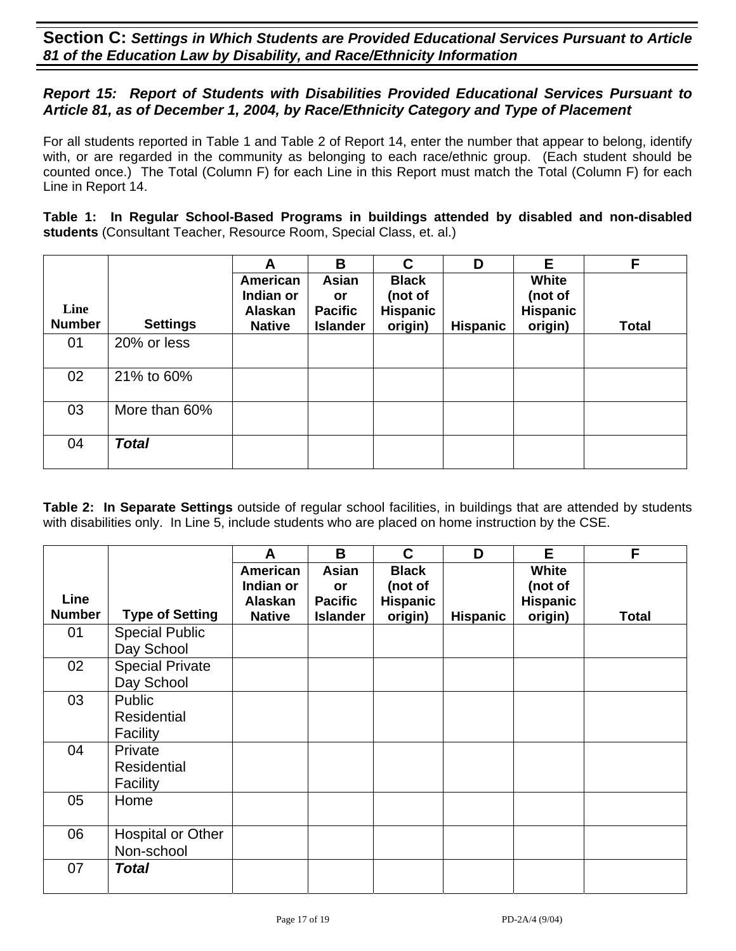## *Report 15: Report of Students with Disabilities Provided Educational Services Pursuant to Article 81, as of December 1, 2004, by Race/Ethnicity Category and Type of Placement*

For all students reported in Table 1 and Table 2 of Report 14, enter the number that appear to belong, identify with, or are regarded in the community as belonging to each race/ethnic group. (Each student should be counted once.) The Total (Column F) for each Line in this Report must match the Total (Column F) for each Line in Report 14.

**Table 1: In Regular School-Based Programs in buildings attended by disabled and non-disabled students** (Consultant Teacher, Resource Room, Special Class, et. al.)

|                       |                 | A                                                 | B                                                | C                                                     | D               | Е                                              | F            |
|-----------------------|-----------------|---------------------------------------------------|--------------------------------------------------|-------------------------------------------------------|-----------------|------------------------------------------------|--------------|
| Line<br><b>Number</b> | <b>Settings</b> | American<br>Indian or<br>Alaskan<br><b>Native</b> | Asian<br>or<br><b>Pacific</b><br><b>Islander</b> | <b>Black</b><br>(not of<br><b>Hispanic</b><br>origin) | <b>Hispanic</b> | White<br>(not of<br><b>Hispanic</b><br>origin) | <b>Total</b> |
| 01                    | 20% or less     |                                                   |                                                  |                                                       |                 |                                                |              |
| 02                    | 21% to 60%      |                                                   |                                                  |                                                       |                 |                                                |              |
| 03                    | More than 60%   |                                                   |                                                  |                                                       |                 |                                                |              |
| 04                    | <b>Total</b>    |                                                   |                                                  |                                                       |                 |                                                |              |

|               |                                           | A                                | B                                    | C                                          | D               | E                                          | F     |
|---------------|-------------------------------------------|----------------------------------|--------------------------------------|--------------------------------------------|-----------------|--------------------------------------------|-------|
| <b>Line</b>   |                                           | American<br>Indian or<br>Alaskan | Asian<br><b>or</b><br><b>Pacific</b> | <b>Black</b><br>(not of<br><b>Hispanic</b> |                 | <b>White</b><br>(not of<br><b>Hispanic</b> |       |
| <b>Number</b> | <b>Type of Setting</b>                    | <b>Native</b>                    | <b>Islander</b>                      | origin)                                    | <b>Hispanic</b> | origin)                                    | Total |
| 01            | <b>Special Public</b><br>Day School       |                                  |                                      |                                            |                 |                                            |       |
| 02            | <b>Special Private</b><br>Day School      |                                  |                                      |                                            |                 |                                            |       |
| 03            | Public<br><b>Residential</b><br>Facility  |                                  |                                      |                                            |                 |                                            |       |
| 04            | Private<br><b>Residential</b><br>Facility |                                  |                                      |                                            |                 |                                            |       |
| 05            | Home                                      |                                  |                                      |                                            |                 |                                            |       |
| 06            | <b>Hospital or Other</b><br>Non-school    |                                  |                                      |                                            |                 |                                            |       |
| 07            | <b>Total</b>                              |                                  |                                      |                                            |                 |                                            |       |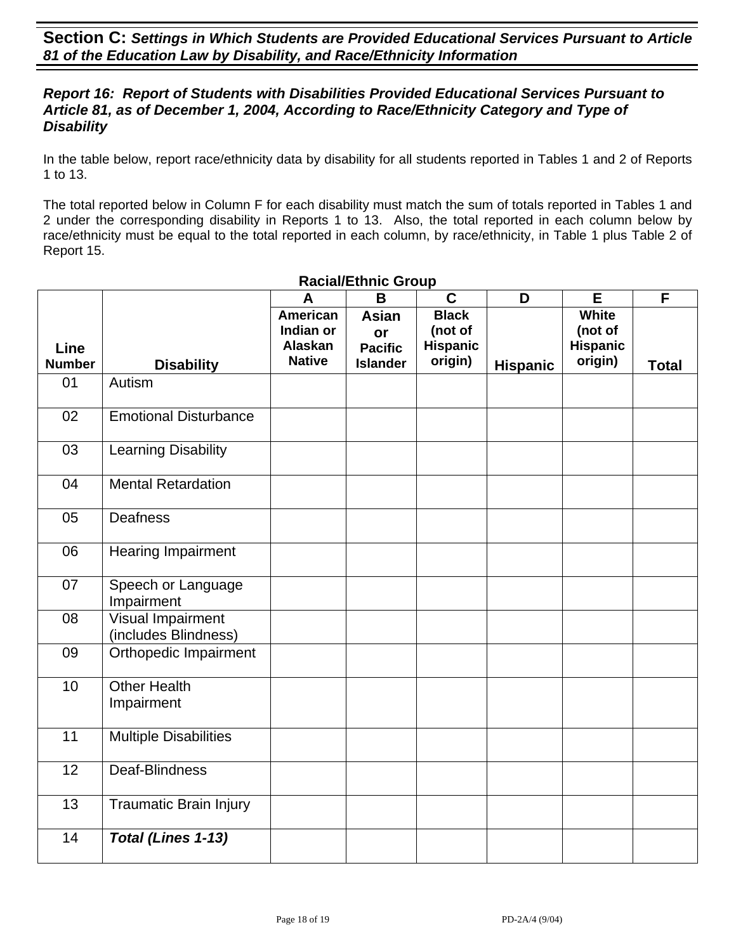## *Report 16: Report of Students with Disabilities Provided Educational Services Pursuant to Article 81, as of December 1, 2004, According to Race/Ethnicity Category and Type of Disability*

In the table below, report race/ethnicity data by disability for all students reported in Tables 1 and 2 of Reports 1 to 13.

The total reported below in Column F for each disability must match the sum of totals reported in Tables 1 and 2 under the corresponding disability in Reports 1 to 13. Also, the total reported in each column below by race/ethnicity must be equal to the total reported in each column, by race/ethnicity, in Table 1 plus Table 2 of Report 15.

|                              |                                           | A                                                        | B                                                       | $\mathbf C$                                           | D               | E                                              | F            |
|------------------------------|-------------------------------------------|----------------------------------------------------------|---------------------------------------------------------|-------------------------------------------------------|-----------------|------------------------------------------------|--------------|
| <b>Line</b><br><b>Number</b> | <b>Disability</b>                         | <b>American</b><br>Indian or<br>Alaskan<br><b>Native</b> | <b>Asian</b><br>or<br><b>Pacific</b><br><b>Islander</b> | <b>Black</b><br>(not of<br><b>Hispanic</b><br>origin) | <b>Hispanic</b> | White<br>(not of<br><b>Hispanic</b><br>origin) | <b>Total</b> |
| 01                           | Autism                                    |                                                          |                                                         |                                                       |                 |                                                |              |
| 02                           | <b>Emotional Disturbance</b>              |                                                          |                                                         |                                                       |                 |                                                |              |
| 03                           | <b>Learning Disability</b>                |                                                          |                                                         |                                                       |                 |                                                |              |
| 04                           | <b>Mental Retardation</b>                 |                                                          |                                                         |                                                       |                 |                                                |              |
| 05                           | Deafness                                  |                                                          |                                                         |                                                       |                 |                                                |              |
| 06                           | <b>Hearing Impairment</b>                 |                                                          |                                                         |                                                       |                 |                                                |              |
| 07                           | Speech or Language<br>Impairment          |                                                          |                                                         |                                                       |                 |                                                |              |
| 08                           | Visual Impairment<br>(includes Blindness) |                                                          |                                                         |                                                       |                 |                                                |              |
| 09                           | Orthopedic Impairment                     |                                                          |                                                         |                                                       |                 |                                                |              |
| 10                           | <b>Other Health</b><br>Impairment         |                                                          |                                                         |                                                       |                 |                                                |              |
| $\overline{11}$              | <b>Multiple Disabilities</b>              |                                                          |                                                         |                                                       |                 |                                                |              |
| 12                           | Deaf-Blindness                            |                                                          |                                                         |                                                       |                 |                                                |              |
| 13                           | <b>Traumatic Brain Injury</b>             |                                                          |                                                         |                                                       |                 |                                                |              |
| 14                           | Total (Lines 1-13)                        |                                                          |                                                         |                                                       |                 |                                                |              |

#### **Racial/Ethnic Group**